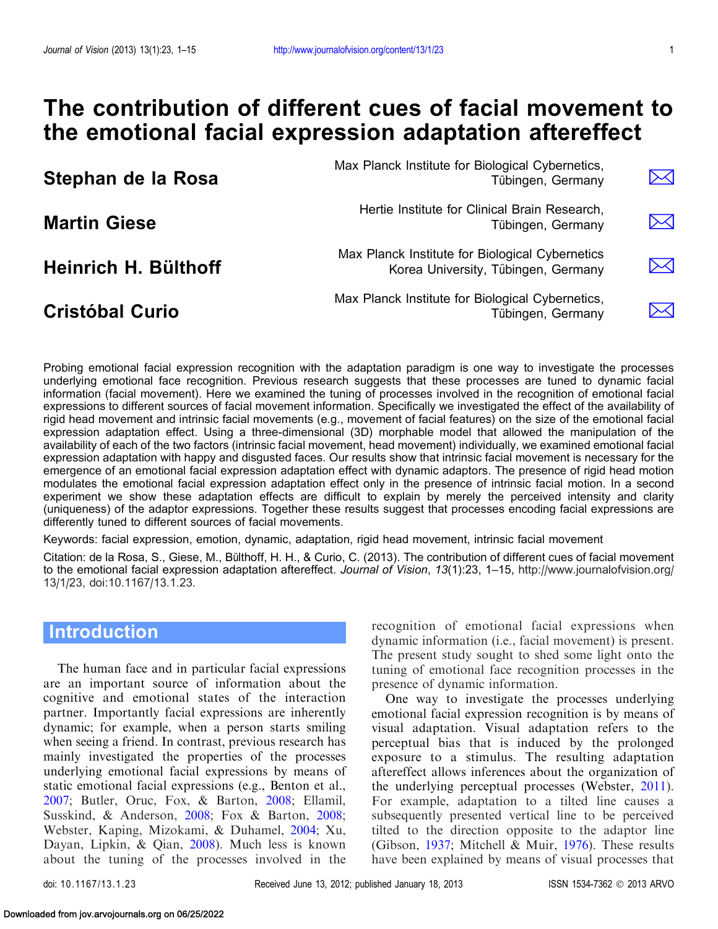# The contribution of different cues of facial movement to the emotional facial expression adaptation aftereffect

**Stephan de la Rosa** Max Planck Institute for Biological Cybernetics,<br>Max Planck Institute for Biological Cybernetics, Tübingen, Germany

Martin Giese **Martin Giese 1998** Hertie Institute for Clinical Brain Research, Tübingen, Germany

Max Planck Institute for Biological Cybernetics<br>Korea University, Tübingen, Germany Korea University, Tübingen, Germany

**Cristóbal Curio ```** Max Planck Institute for Biological Cybernetics,  $\sim$  **Cristóbal Curio** Tübingen, Germany

Probing emotional facial expression recognition with the adaptation paradigm is one way to investigate the processes underlying emotional face recognition. Previous research suggests that these processes are tuned to dynamic facial information (facial movement). Here we examined the tuning of processes involved in the recognition of emotional facial expressions to different sources of facial movement information. Specifically we investigated the effect of the availability of rigid head movement and intrinsic facial movements (e.g., movement of facial features) on the size of the emotional facial expression adaptation effect. Using a three-dimensional (3D) morphable model that allowed the manipulation of the availability of each of the two factors (intrinsic facial movement, head movement) individually, we examined emotional facial expression adaptation with happy and disgusted faces. Our results show that intrinsic facial movement is necessary for the emergence of an emotional facial expression adaptation effect with dynamic adaptors. The presence of rigid head motion modulates the emotional facial expression adaptation effect only in the presence of intrinsic facial motion. In a second experiment we show these adaptation effects are difficult to explain by merely the perceived intensity and clarity (uniqueness) of the adaptor expressions. Together these results suggest that processes encoding facial expressions are differently tuned to different sources of facial movements.

Keywords: facial expression, emotion, dynamic, adaptation, rigid head movement, intrinsic facial movement

Citation: de la Rosa, S., Giese, M., Bülthoff, H. H., & Curio, C. (2013). The contribution of different cues of facial movement to the emotional facial expression adaptation aftereffect. Journal of Vision, 13(1):23, 1–15, http://www.journalofvision.org/ 13/1/23, doi:10.1167/13.1.23.

# **Introduction**

The human face and in particular facial expressions are an important source of information about the cognitive and emotional states of the interaction partner. Importantly facial expressions are inherently dynamic; for example, when a person starts smiling when seeing a friend. In contrast, previous research has mainly investigated the properties of the processes underlying emotional facial expressions by means of static emotional facial expressions (e.g., Benton et al., [2007;](#page-12-0) Butler, Oruc, Fox, & Barton, [2008;](#page-12-0) Ellamil, Susskind, & Anderson, [2008](#page-13-0); Fox & Barton, [2008](#page-13-0); Webster, Kaping, Mizokami, & Duhamel, [2004;](#page-14-0) Xu, Dayan, Lipkin, & Qian, [2008\)](#page-14-0). Much less is known about the tuning of the processes involved in the

recognition of emotional facial expressions when dynamic information (i.e., facial movement) is present. The present study sought to shed some light onto the tuning of emotional face recognition processes in the presence of dynamic information.

One way to investigate the processes underlying emotional facial expression recognition is by means of visual adaptation. Visual adaptation refers to the perceptual bias that is induced by the prolonged exposure to a stimulus. The resulting adaptation aftereffect allows inferences about the organization of the underlying perceptual processes (Webster, [2011](#page-14-0)). For example, adaptation to a tilted line causes a subsequently presented vertical line to be perceived tilted to the direction opposite to the adaptor line (Gibson, [1937](#page-13-0); Mitchell & Muir, [1976\)](#page-13-0). These results have been explained by means of visual processes that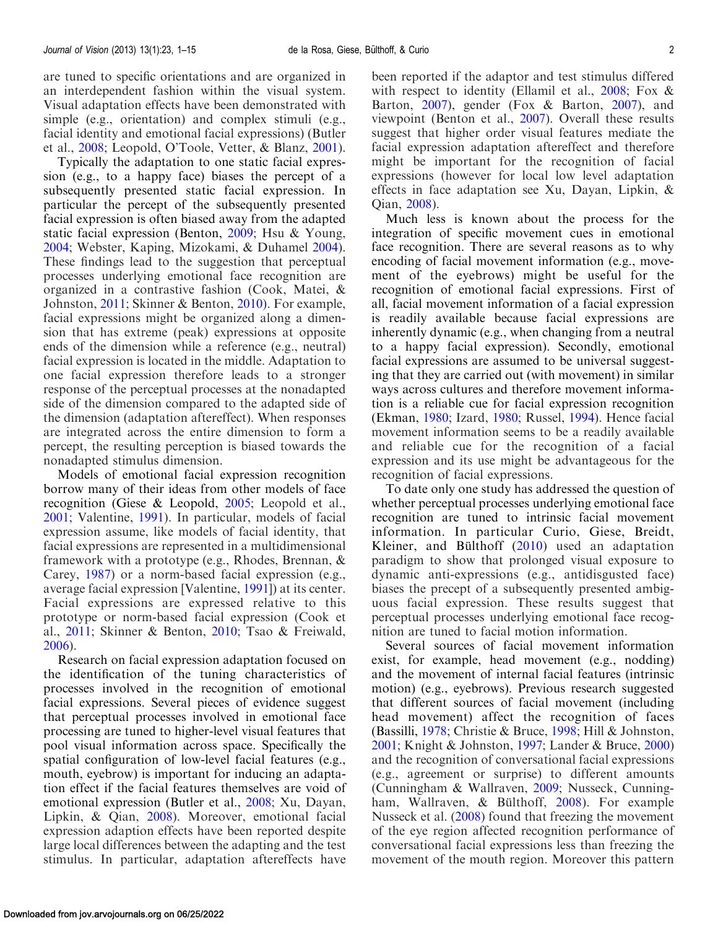are tuned to specific orientations and are organized in an interdependent fashion within the visual system. Visual adaptation effects have been demonstrated with simple (e.g., orientation) and complex stimuli (e.g., facial identity and emotional facial expressions) (Butler et al., [2008;](#page-12-0) Leopold, O'Toole, Vetter, & Blanz, [2001](#page-13-0)).

Typically the adaptation to one static facial expression (e.g., to a happy face) biases the percept of a subsequently presented static facial expression. In particular the percept of the subsequently presented facial expression is often biased away from the adapted static facial expression (Benton, [2009](#page-12-0); Hsu & Young, [2004;](#page-13-0) Webster, Kaping, Mizokami, & Duhamel [2004](#page-14-0)). These findings lead to the suggestion that perceptual processes underlying emotional face recognition are organized in a contrastive fashion (Cook, Matei, & Johnston, [2011](#page-12-0); Skinner & Benton, [2010](#page-13-0)). For example, facial expressions might be organized along a dimension that has extreme (peak) expressions at opposite ends of the dimension while a reference (e.g., neutral) facial expression is located in the middle. Adaptation to one facial expression therefore leads to a stronger response of the perceptual processes at the nonadapted side of the dimension compared to the adapted side of the dimension (adaptation aftereffect). When responses are integrated across the entire dimension to form a percept, the resulting perception is biased towards the nonadapted stimulus dimension.

Models of emotional facial expression recognition borrow many of their ideas from other models of face recognition (Giese & Leopold, [2005;](#page-13-0) Leopold et al., [2001;](#page-13-0) Valentine, [1991\)](#page-13-0). In particular, models of facial expression assume, like models of facial identity, that facial expressions are represented in a multidimensional framework with a prototype (e.g., Rhodes, Brennan, & Carey, [1987](#page-13-0)) or a norm-based facial expression (e.g., average facial expression [Valentine, [1991](#page-13-0)]) at its center. Facial expressions are expressed relative to this prototype or norm-based facial expression (Cook et al., [2011;](#page-12-0) Skinner & Benton, [2010](#page-13-0); Tsao & Freiwald, [2006\)](#page-13-0).

Research on facial expression adaptation focused on the identification of the tuning characteristics of processes involved in the recognition of emotional facial expressions. Several pieces of evidence suggest that perceptual processes involved in emotional face processing are tuned to higher-level visual features that pool visual information across space. Specifically the spatial configuration of low-level facial features (e.g., mouth, eyebrow) is important for inducing an adaptation effect if the facial features themselves are void of emotional expression (Butler et al., [2008;](#page-12-0) Xu, Dayan, Lipkin, & Qian, [2008](#page-14-0)). Moreover, emotional facial expression adaption effects have been reported despite large local differences between the adapting and the test stimulus. In particular, adaptation aftereffects have

been reported if the adaptor and test stimulus differed with respect to identity (Ellamil et al., [2008](#page-13-0); Fox & Barton, [2007\)](#page-13-0), gender (Fox & Barton, [2007\)](#page-13-0), and viewpoint (Benton et al., [2007](#page-12-0)). Overall these results suggest that higher order visual features mediate the facial expression adaptation aftereffect and therefore might be important for the recognition of facial expressions (however for local low level adaptation effects in face adaptation see Xu, Dayan, Lipkin, & Qian, [2008](#page-14-0)).

Much less is known about the process for the integration of specific movement cues in emotional face recognition. There are several reasons as to why encoding of facial movement information (e.g., movement of the eyebrows) might be useful for the recognition of emotional facial expressions. First of all, facial movement information of a facial expression is readily available because facial expressions are inherently dynamic (e.g., when changing from a neutral to a happy facial expression). Secondly, emotional facial expressions are assumed to be universal suggesting that they are carried out (with movement) in similar ways across cultures and therefore movement information is a reliable cue for facial expression recognition (Ekman, [1980;](#page-13-0) Izard, [1980;](#page-13-0) Russel, [1994](#page-13-0)). Hence facial movement information seems to be a readily available and reliable cue for the recognition of a facial expression and its use might be advantageous for the recognition of facial expressions.

To date only one study has addressed the question of whether perceptual processes underlying emotional face recognition are tuned to intrinsic facial movement information. In particular Curio, Giese, Breidt, Kleiner, and Bülthoff  $(2010)$  $(2010)$  $(2010)$  used an adaptation paradigm to show that prolonged visual exposure to dynamic anti-expressions (e.g., antidisgusted face) biases the precept of a subsequently presented ambiguous facial expression. These results suggest that perceptual processes underlying emotional face recognition are tuned to facial motion information.

Several sources of facial movement information exist, for example, head movement (e.g., nodding) and the movement of internal facial features (intrinsic motion) (e.g., eyebrows). Previous research suggested that different sources of facial movement (including head movement) affect the recognition of faces (Bassilli, [1978](#page-12-0); Christie & Bruce, [1998](#page-12-0); Hill & Johnston, [2001;](#page-13-0) Knight & Johnston, [1997;](#page-13-0) Lander & Bruce, [2000](#page-13-0)) and the recognition of conversational facial expressions (e.g., agreement or surprise) to different amounts (Cunningham & Wallraven, [2009;](#page-12-0) Nusseck, Cunningham, Wallraven, & Bülthoff,  $2008$ ). For example Nusseck et al. [\(2008](#page-13-0)) found that freezing the movement of the eye region affected recognition performance of conversational facial expressions less than freezing the movement of the mouth region. Moreover this pattern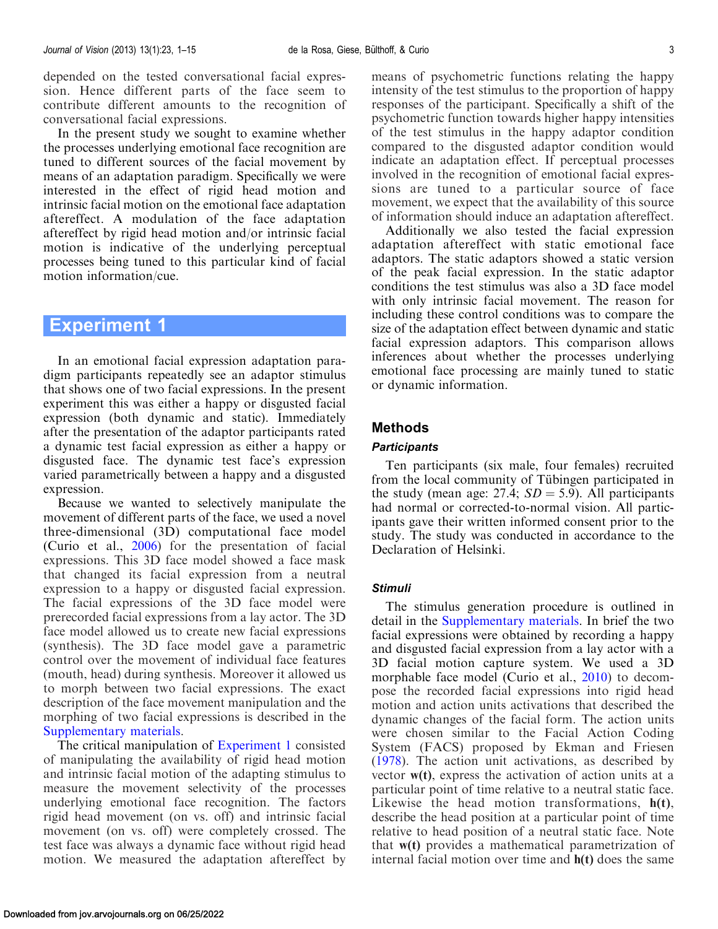<span id="page-2-0"></span>depended on the tested conversational facial expression. Hence different parts of the face seem to contribute different amounts to the recognition of conversational facial expressions.

In the present study we sought to examine whether the processes underlying emotional face recognition are tuned to different sources of the facial movement by means of an adaptation paradigm. Specifically we were interested in the effect of rigid head motion and intrinsic facial motion on the emotional face adaptation aftereffect. A modulation of the face adaptation aftereffect by rigid head motion and/or intrinsic facial motion is indicative of the underlying perceptual processes being tuned to this particular kind of facial motion information/cue.

## Experiment 1

In an emotional facial expression adaptation paradigm participants repeatedly see an adaptor stimulus that shows one of two facial expressions. In the present experiment this was either a happy or disgusted facial expression (both dynamic and static). Immediately after the presentation of the adaptor participants rated a dynamic test facial expression as either a happy or disgusted face. The dynamic test face's expression varied parametrically between a happy and a disgusted expression.

Because we wanted to selectively manipulate the movement of different parts of the face, we used a novel three-dimensional (3D) computational face model (Curio et al., [2006](#page-12-0)) for the presentation of facial expressions. This 3D face model showed a face mask that changed its facial expression from a neutral expression to a happy or disgusted facial expression. The facial expressions of the 3D face model were prerecorded facial expressions from a lay actor. The 3D face model allowed us to create new facial expressions (synthesis). The 3D face model gave a parametric control over the movement of individual face features (mouth, head) during synthesis. Moreover it allowed us to morph between two facial expressions. The exact description of the face movement manipulation and the morphing of two facial expressions is described in the [Supplementary materials](http://www.journalofvision.org/content/13/1/23/suppl/DC1).

The critical manipulation of Experiment 1 consisted of manipulating the availability of rigid head motion and intrinsic facial motion of the adapting stimulus to measure the movement selectivity of the processes underlying emotional face recognition. The factors rigid head movement (on vs. off) and intrinsic facial movement (on vs. off) were completely crossed. The test face was always a dynamic face without rigid head motion. We measured the adaptation aftereffect by means of psychometric functions relating the happy intensity of the test stimulus to the proportion of happy responses of the participant. Specifically a shift of the psychometric function towards higher happy intensities of the test stimulus in the happy adaptor condition compared to the disgusted adaptor condition would indicate an adaptation effect. If perceptual processes involved in the recognition of emotional facial expressions are tuned to a particular source of face movement, we expect that the availability of this source of information should induce an adaptation aftereffect.

Additionally we also tested the facial expression adaptation aftereffect with static emotional face adaptors. The static adaptors showed a static version of the peak facial expression. In the static adaptor conditions the test stimulus was also a 3D face model with only intrinsic facial movement. The reason for including these control conditions was to compare the size of the adaptation effect between dynamic and static facial expression adaptors. This comparison allows inferences about whether the processes underlying emotional face processing are mainly tuned to static or dynamic information.

## Methods

#### **Participants**

Ten participants (six male, four females) recruited from the local community of Tübingen participated in the study (mean age: 27.4;  $SD = 5.9$ ). All participants had normal or corrected-to-normal vision. All participants gave their written informed consent prior to the study. The study was conducted in accordance to the Declaration of Helsinki.

### Stimuli

The stimulus generation procedure is outlined in detail in the [Supplementary materials.](http://www.journalofvision.org/content/13/1/23/suppl/DC1) In brief the two facial expressions were obtained by recording a happy and disgusted facial expression from a lay actor with a 3D facial motion capture system. We used a 3D morphable face model (Curio et al., [2010](#page-12-0)) to decompose the recorded facial expressions into rigid head motion and action units activations that described the dynamic changes of the facial form. The action units were chosen similar to the Facial Action Coding System (FACS) proposed by Ekman and Friesen ([1978](#page-13-0)). The action unit activations, as described by vector w(t), express the activation of action units at a particular point of time relative to a neutral static face. Likewise the head motion transformations,  $h(t)$ , describe the head position at a particular point of time relative to head position of a neutral static face. Note that w(t) provides a mathematical parametrization of internal facial motion over time and h(t) does the same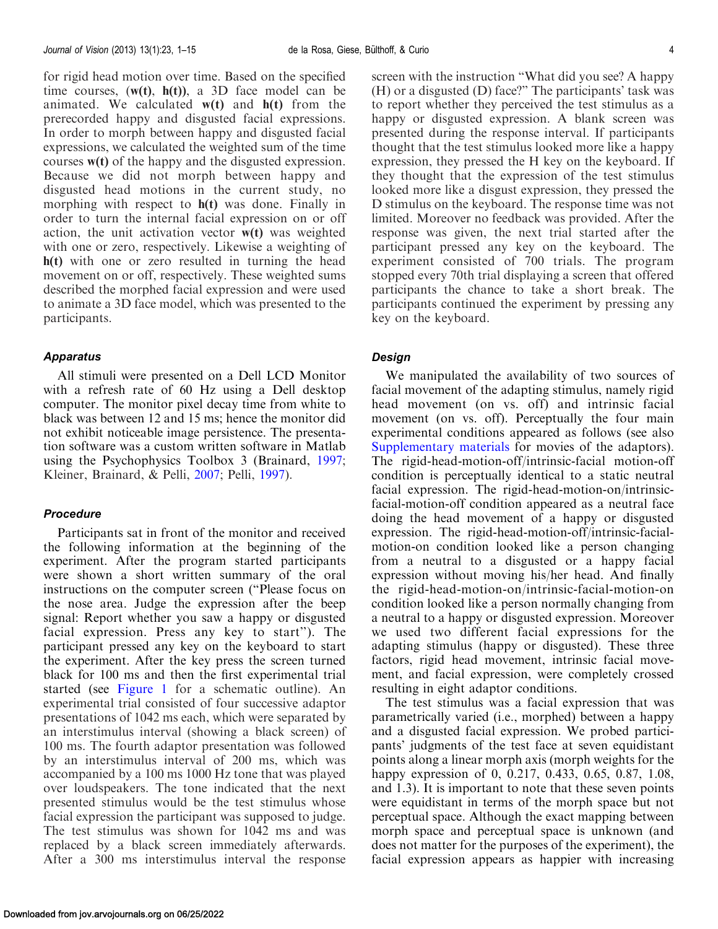for rigid head motion over time. Based on the specified time courses,  $(w(t), h(t))$ , a 3D face model can be animated. We calculated  $w(t)$  and  $h(t)$  from the prerecorded happy and disgusted facial expressions. In order to morph between happy and disgusted facial expressions, we calculated the weighted sum of the time courses w(t) of the happy and the disgusted expression. Because we did not morph between happy and disgusted head motions in the current study, no morphing with respect to  $h(t)$  was done. Finally in order to turn the internal facial expression on or off action, the unit activation vector  $w(t)$  was weighted with one or zero, respectively. Likewise a weighting of h(t) with one or zero resulted in turning the head movement on or off, respectively. These weighted sums described the morphed facial expression and were used to animate a 3D face model, which was presented to the participants.

### Apparatus

All stimuli were presented on a Dell LCD Monitor with a refresh rate of 60 Hz using a Dell desktop computer. The monitor pixel decay time from white to black was between 12 and 15 ms; hence the monitor did not exhibit noticeable image persistence. The presentation software was a custom written software in Matlab using the Psychophysics Toolbox 3 (Brainard, [1997](#page-12-0); Kleiner, Brainard, & Pelli, [2007;](#page-13-0) Pelli, [1997](#page-13-0)).

#### Procedure

Participants sat in front of the monitor and received the following information at the beginning of the experiment. After the program started participants were shown a short written summary of the oral instructions on the computer screen (''Please focus on the nose area. Judge the expression after the beep signal: Report whether you saw a happy or disgusted facial expression. Press any key to start''). The participant pressed any key on the keyboard to start the experiment. After the key press the screen turned black for 100 ms and then the first experimental trial started (see [Figure 1](#page-4-0) for a schematic outline). An experimental trial consisted of four successive adaptor presentations of 1042 ms each, which were separated by an interstimulus interval (showing a black screen) of 100 ms. The fourth adaptor presentation was followed by an interstimulus interval of 200 ms, which was accompanied by a 100 ms 1000 Hz tone that was played over loudspeakers. The tone indicated that the next presented stimulus would be the test stimulus whose facial expression the participant was supposed to judge. The test stimulus was shown for 1042 ms and was replaced by a black screen immediately afterwards. After a 300 ms interstimulus interval the response

screen with the instruction ''What did you see? A happy (H) or a disgusted (D) face?'' The participants' task was to report whether they perceived the test stimulus as a happy or disgusted expression. A blank screen was presented during the response interval. If participants thought that the test stimulus looked more like a happy expression, they pressed the H key on the keyboard. If they thought that the expression of the test stimulus looked more like a disgust expression, they pressed the D stimulus on the keyboard. The response time was not limited. Moreover no feedback was provided. After the response was given, the next trial started after the participant pressed any key on the keyboard. The experiment consisted of 700 trials. The program stopped every 70th trial displaying a screen that offered participants the chance to take a short break. The participants continued the experiment by pressing any key on the keyboard.

## Design

We manipulated the availability of two sources of facial movement of the adapting stimulus, namely rigid head movement (on vs. off) and intrinsic facial movement (on vs. off). Perceptually the four main experimental conditions appeared as follows (see also [Supplementary materials](http://www.journalofvision.org/content/13/1/23/suppl/DC1) for movies of the adaptors). The rigid-head-motion-off/intrinsic-facial motion-off condition is perceptually identical to a static neutral facial expression. The rigid-head-motion-on/intrinsicfacial-motion-off condition appeared as a neutral face doing the head movement of a happy or disgusted expression. The rigid-head-motion-off/intrinsic-facialmotion-on condition looked like a person changing from a neutral to a disgusted or a happy facial expression without moving his/her head. And finally the rigid-head-motion-on/intrinsic-facial-motion-on condition looked like a person normally changing from a neutral to a happy or disgusted expression. Moreover we used two different facial expressions for the adapting stimulus (happy or disgusted). These three factors, rigid head movement, intrinsic facial movement, and facial expression, were completely crossed resulting in eight adaptor conditions.

The test stimulus was a facial expression that was parametrically varied (i.e., morphed) between a happy and a disgusted facial expression. We probed participants' judgments of the test face at seven equidistant points along a linear morph axis (morph weights for the happy expression of 0, 0.217, 0.433, 0.65, 0.87, 1.08, and 1.3). It is important to note that these seven points were equidistant in terms of the morph space but not perceptual space. Although the exact mapping between morph space and perceptual space is unknown (and does not matter for the purposes of the experiment), the facial expression appears as happier with increasing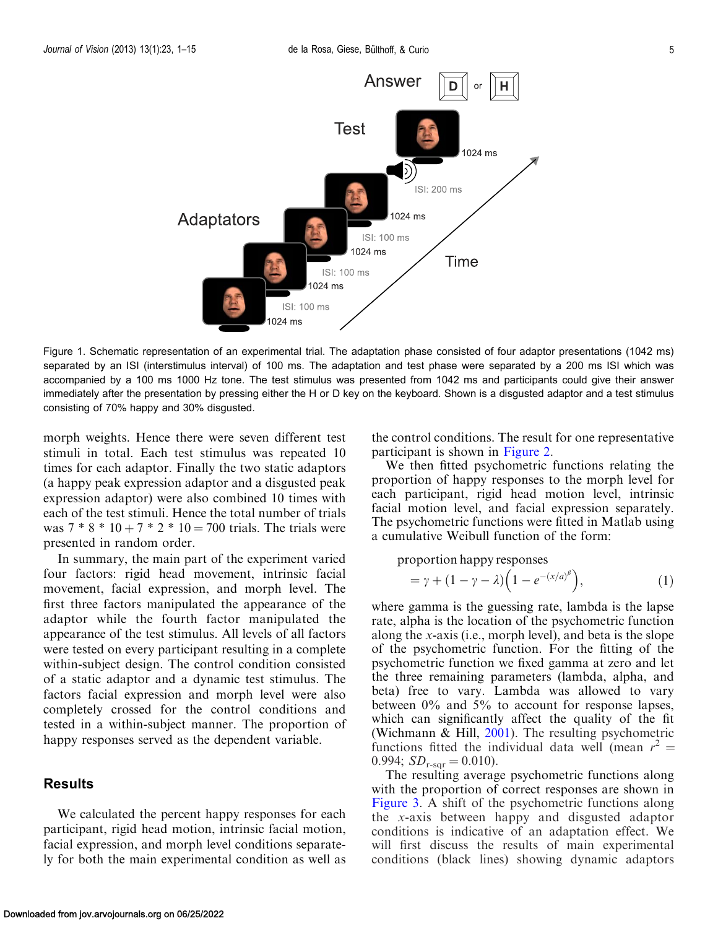<span id="page-4-0"></span>

Figure 1. Schematic representation of an experimental trial. The adaptation phase consisted of four adaptor presentations (1042 ms) separated by an ISI (interstimulus interval) of 100 ms. The adaptation and test phase were separated by a 200 ms ISI which was accompanied by a 100 ms 1000 Hz tone. The test stimulus was presented from 1042 ms and participants could give their answer immediately after the presentation by pressing either the H or D key on the keyboard. Shown is a disgusted adaptor and a test stimulus consisting of 70% happy and 30% disgusted.

morph weights. Hence there were seven different test stimuli in total. Each test stimulus was repeated 10 times for each adaptor. Finally the two static adaptors (a happy peak expression adaptor and a disgusted peak expression adaptor) were also combined 10 times with each of the test stimuli. Hence the total number of trials was  $7 * 8 * 10 + 7 * 2 * 10 = 700$  trials. The trials were presented in random order.

In summary, the main part of the experiment varied four factors: rigid head movement, intrinsic facial movement, facial expression, and morph level. The first three factors manipulated the appearance of the adaptor while the fourth factor manipulated the appearance of the test stimulus. All levels of all factors were tested on every participant resulting in a complete within-subject design. The control condition consisted of a static adaptor and a dynamic test stimulus. The factors facial expression and morph level were also completely crossed for the control conditions and tested in a within-subject manner. The proportion of happy responses served as the dependent variable.

## Results

We calculated the percent happy responses for each participant, rigid head motion, intrinsic facial motion, facial expression, and morph level conditions separately for both the main experimental condition as well as the control conditions. The result for one representative participant is shown in [Figure 2](#page-5-0).

We then fitted psychometric functions relating the proportion of happy responses to the morph level for each participant, rigid head motion level, intrinsic facial motion level, and facial expression separately. The psychometric functions were fitted in Matlab using a cumulative Weibull function of the form:

proportion happy responses

$$
= \gamma + (1 - \gamma - \lambda) \left( 1 - e^{-(x/a)^{\beta}} \right), \tag{1}
$$

where gamma is the guessing rate, lambda is the lapse rate, alpha is the location of the psychometric function along the x-axis (i.e., morph level), and beta is the slope of the psychometric function. For the fitting of the psychometric function we fixed gamma at zero and let the three remaining parameters (lambda, alpha, and beta) free to vary. Lambda was allowed to vary between  $0\%$  and  $5\%$  to account for response lapses, which can significantly affect the quality of the fit (Wichmann & Hill, [2001](#page-14-0)). The resulting psychometric functions fitted the individual data well (mean  $r^2 =$ 0.994;  $SD_{r-sqr} = 0.010$ .

The resulting average psychometric functions along with the proportion of correct responses are shown in [Figure 3.](#page-6-0) A shift of the psychometric functions along the x-axis between happy and disgusted adaptor conditions is indicative of an adaptation effect. We will first discuss the results of main experimental conditions (black lines) showing dynamic adaptors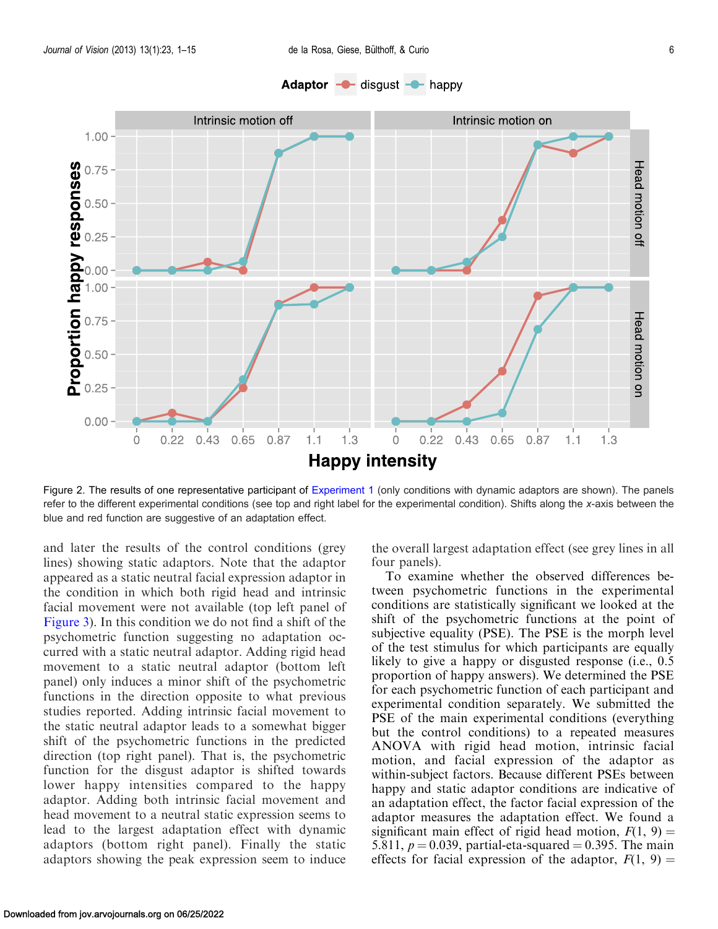

<span id="page-5-0"></span>

Figure 2. The results of one representative participant of [Experiment 1](#page-2-0) (only conditions with dynamic adaptors are shown). The panels refer to the different experimental conditions (see top and right label for the experimental condition). Shifts along the x-axis between the blue and red function are suggestive of an adaptation effect.

and later the results of the control conditions (grey lines) showing static adaptors. Note that the adaptor appeared as a static neutral facial expression adaptor in the condition in which both rigid head and intrinsic facial movement were not available (top left panel of [Figure 3](#page-6-0)). In this condition we do not find a shift of the psychometric function suggesting no adaptation occurred with a static neutral adaptor. Adding rigid head movement to a static neutral adaptor (bottom left panel) only induces a minor shift of the psychometric functions in the direction opposite to what previous studies reported. Adding intrinsic facial movement to the static neutral adaptor leads to a somewhat bigger shift of the psychometric functions in the predicted direction (top right panel). That is, the psychometric function for the disgust adaptor is shifted towards lower happy intensities compared to the happy adaptor. Adding both intrinsic facial movement and head movement to a neutral static expression seems to lead to the largest adaptation effect with dynamic adaptors (bottom right panel). Finally the static adaptors showing the peak expression seem to induce

the overall largest adaptation effect (see grey lines in all four panels).

To examine whether the observed differences between psychometric functions in the experimental conditions are statistically significant we looked at the shift of the psychometric functions at the point of subjective equality (PSE). The PSE is the morph level of the test stimulus for which participants are equally likely to give a happy or disgusted response (i.e., 0.5 proportion of happy answers). We determined the PSE for each psychometric function of each participant and experimental condition separately. We submitted the PSE of the main experimental conditions (everything but the control conditions) to a repeated measures ANOVA with rigid head motion, intrinsic facial motion, and facial expression of the adaptor as within-subject factors. Because different PSEs between happy and static adaptor conditions are indicative of an adaptation effect, the factor facial expression of the adaptor measures the adaptation effect. We found a significant main effect of rigid head motion,  $F(1, 9) =$ 5.811,  $p = 0.039$ , partial-eta-squared = 0.395. The main effects for facial expression of the adaptor,  $F(1, 9) =$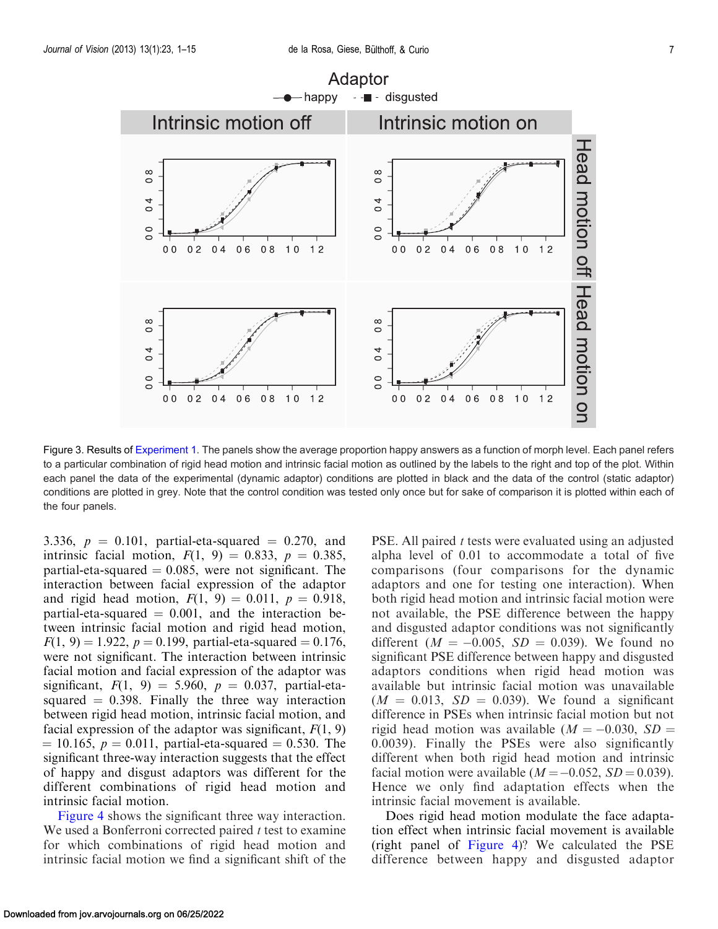<span id="page-6-0"></span>

Figure 3. Results of [Experiment 1.](#page-2-0) The panels show the average proportion happy answers as a function of morph level. Each panel refers to a particular combination of rigid head motion and intrinsic facial motion as outlined by the labels to the right and top of the plot. Within each panel the data of the experimental (dynamic adaptor) conditions are plotted in black and the data of the control (static adaptor) conditions are plotted in grey. Note that the control condition was tested only once but for sake of comparison it is plotted within each of the four panels.

3.336,  $p = 0.101$ , partial-eta-squared  $= 0.270$ , and intrinsic facial motion,  $F(1, 9) = 0.833, p = 0.385,$ partial-eta-squared  $= 0.085$ , were not significant. The interaction between facial expression of the adaptor and rigid head motion,  $F(1, 9) = 0.011$ ,  $p = 0.918$ , partial-eta-squared  $= 0.001$ , and the interaction between intrinsic facial motion and rigid head motion,  $F(1, 9) = 1.922$ ,  $p = 0.199$ , partial-eta-squared = 0.176, were not significant. The interaction between intrinsic facial motion and facial expression of the adaptor was significant,  $F(1, 9) = 5.960, p = 0.037,$  partial-etasquared  $= 0.398$ . Finally the three way interaction between rigid head motion, intrinsic facial motion, and facial expression of the adaptor was significant,  $F(1, 9)$  $= 10.165$ ,  $p = 0.011$ , partial-eta-squared  $= 0.530$ . The significant three-way interaction suggests that the effect of happy and disgust adaptors was different for the different combinations of rigid head motion and intrinsic facial motion.

[Figure 4](#page-7-0) shows the significant three way interaction. We used a Bonferroni corrected paired  $t$  test to examine for which combinations of rigid head motion and intrinsic facial motion we find a significant shift of the

PSE. All paired *t* tests were evaluated using an adjusted alpha level of 0.01 to accommodate a total of five comparisons (four comparisons for the dynamic adaptors and one for testing one interaction). When both rigid head motion and intrinsic facial motion were not available, the PSE difference between the happy and disgusted adaptor conditions was not significantly different  $(M = -0.005, SD = 0.039)$ . We found no significant PSE difference between happy and disgusted adaptors conditions when rigid head motion was available but intrinsic facial motion was unavailable  $(M = 0.013, SD = 0.039)$ . We found a significant difference in PSEs when intrinsic facial motion but not rigid head motion was available ( $M = -0.030$ ,  $SD =$ 0.0039). Finally the PSEs were also significantly different when both rigid head motion and intrinsic facial motion were available ( $M = -0.052$ ,  $SD = 0.039$ ). Hence we only find adaptation effects when the intrinsic facial movement is available.

Does rigid head motion modulate the face adaptation effect when intrinsic facial movement is available (right panel of [Figure 4](#page-7-0))? We calculated the PSE difference between happy and disgusted adaptor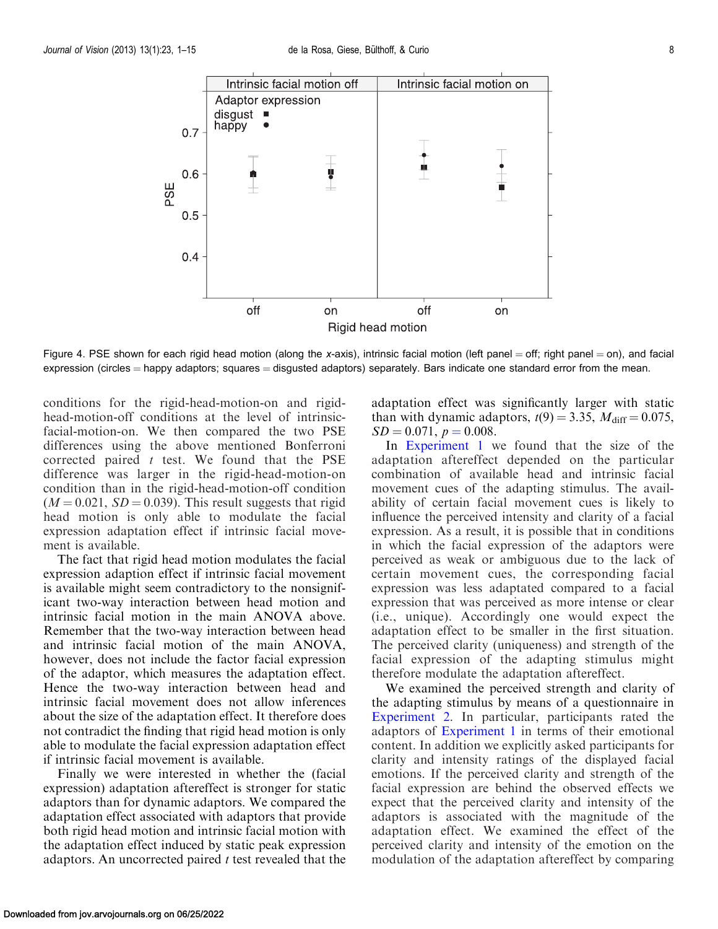<span id="page-7-0"></span>

Figure 4. PSE shown for each rigid head motion (along the x-axis), intrinsic facial motion (left panel = off; right panel = on), and facial  $e$ xpression (circles  $=$  happy adaptors; squares  $=$  disgusted adaptors) separately. Bars indicate one standard error from the mean.

conditions for the rigid-head-motion-on and rigidhead-motion-off conditions at the level of intrinsicfacial-motion-on. We then compared the two PSE differences using the above mentioned Bonferroni corrected paired  $t$  test. We found that the PSE difference was larger in the rigid-head-motion-on condition than in the rigid-head-motion-off condition  $(M = 0.021, SD = 0.039)$ . This result suggests that rigid head motion is only able to modulate the facial expression adaptation effect if intrinsic facial movement is available.

The fact that rigid head motion modulates the facial expression adaption effect if intrinsic facial movement is available might seem contradictory to the nonsignificant two-way interaction between head motion and intrinsic facial motion in the main ANOVA above. Remember that the two-way interaction between head and intrinsic facial motion of the main ANOVA, however, does not include the factor facial expression of the adaptor, which measures the adaptation effect. Hence the two-way interaction between head and intrinsic facial movement does not allow inferences about the size of the adaptation effect. It therefore does not contradict the finding that rigid head motion is only able to modulate the facial expression adaptation effect if intrinsic facial movement is available.

Finally we were interested in whether the (facial expression) adaptation aftereffect is stronger for static adaptors than for dynamic adaptors. We compared the adaptation effect associated with adaptors that provide both rigid head motion and intrinsic facial motion with the adaptation effect induced by static peak expression adaptors. An uncorrected paired  $t$  test revealed that the adaptation effect was significantly larger with static than with dynamic adaptors,  $t(9) = 3.35$ ,  $M_{\text{diff}} = 0.075$ ,  $SD = 0.071, p = 0.008.$ 

In [Experiment 1](#page-2-0) we found that the size of the adaptation aftereffect depended on the particular combination of available head and intrinsic facial movement cues of the adapting stimulus. The availability of certain facial movement cues is likely to influence the perceived intensity and clarity of a facial expression. As a result, it is possible that in conditions in which the facial expression of the adaptors were perceived as weak or ambiguous due to the lack of certain movement cues, the corresponding facial expression was less adaptated compared to a facial expression that was perceived as more intense or clear (i.e., unique). Accordingly one would expect the adaptation effect to be smaller in the first situation. The perceived clarity (uniqueness) and strength of the facial expression of the adapting stimulus might therefore modulate the adaptation aftereffect.

We examined the perceived strength and clarity of the adapting stimulus by means of a questionnaire in [Experiment 2.](#page-8-0) In particular, participants rated the adaptors of [Experiment 1](#page-2-0) in terms of their emotional content. In addition we explicitly asked participants for clarity and intensity ratings of the displayed facial emotions. If the perceived clarity and strength of the facial expression are behind the observed effects we expect that the perceived clarity and intensity of the adaptors is associated with the magnitude of the adaptation effect. We examined the effect of the perceived clarity and intensity of the emotion on the modulation of the adaptation aftereffect by comparing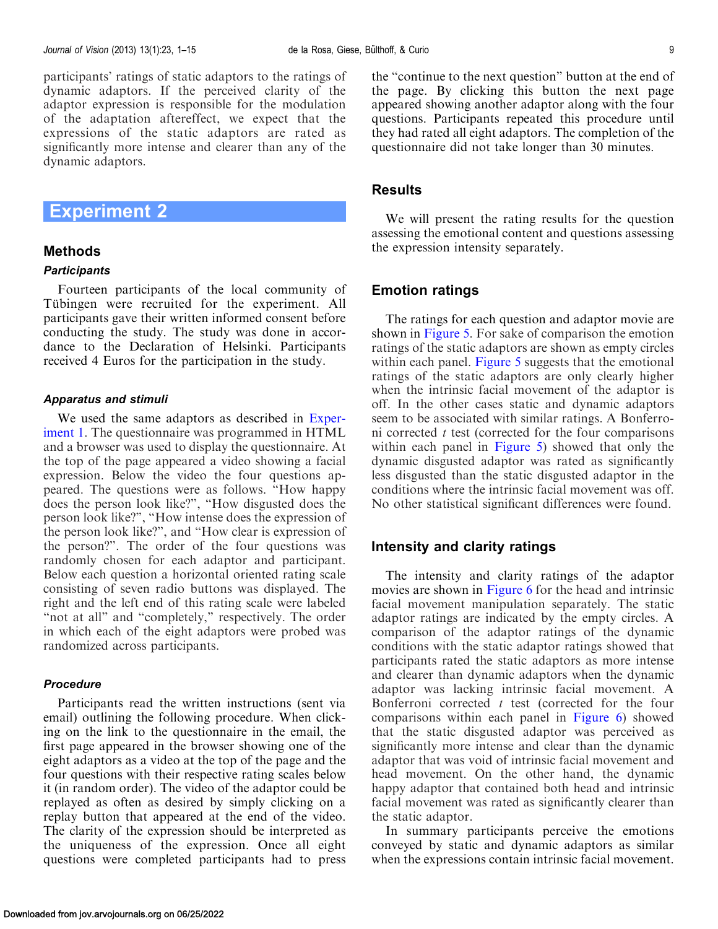<span id="page-8-0"></span>participants' ratings of static adaptors to the ratings of dynamic adaptors. If the perceived clarity of the adaptor expression is responsible for the modulation of the adaptation aftereffect, we expect that the expressions of the static adaptors are rated as significantly more intense and clearer than any of the dynamic adaptors.

# Experiment 2

## Methods

#### **Participants**

Fourteen participants of the local community of Tübingen were recruited for the experiment. All participants gave their written informed consent before conducting the study. The study was done in accordance to the Declaration of Helsinki. Participants received 4 Euros for the participation in the study.

#### Apparatus and stimuli

We used the same adaptors as described in [Exper](#page-2-0)[iment 1.](#page-2-0) The questionnaire was programmed in HTML and a browser was used to display the questionnaire. At the top of the page appeared a video showing a facial expression. Below the video the four questions appeared. The questions were as follows. ''How happy does the person look like?'', ''How disgusted does the person look like?'', ''How intense does the expression of the person look like?'', and ''How clear is expression of the person?''. The order of the four questions was randomly chosen for each adaptor and participant. Below each question a horizontal oriented rating scale consisting of seven radio buttons was displayed. The right and the left end of this rating scale were labeled "not at all" and "completely," respectively. The order in which each of the eight adaptors were probed was randomized across participants.

#### Procedure

Participants read the written instructions (sent via email) outlining the following procedure. When clicking on the link to the questionnaire in the email, the first page appeared in the browser showing one of the eight adaptors as a video at the top of the page and the four questions with their respective rating scales below it (in random order). The video of the adaptor could be replayed as often as desired by simply clicking on a replay button that appeared at the end of the video. The clarity of the expression should be interpreted as the uniqueness of the expression. Once all eight questions were completed participants had to press the ''continue to the next question'' button at the end of the page. By clicking this button the next page appeared showing another adaptor along with the four questions. Participants repeated this procedure until they had rated all eight adaptors. The completion of the questionnaire did not take longer than 30 minutes.

## Results

We will present the rating results for the question assessing the emotional content and questions assessing the expression intensity separately.

## Emotion ratings

The ratings for each question and adaptor movie are shown in [Figure 5](#page-9-0). For sake of comparison the emotion ratings of the static adaptors are shown as empty circles within each panel. [Figure 5](#page-9-0) suggests that the emotional ratings of the static adaptors are only clearly higher when the intrinsic facial movement of the adaptor is off. In the other cases static and dynamic adaptors seem to be associated with similar ratings. A Bonferroni corrected  $t$  test (corrected for the four comparisons within each panel in [Figure 5\)](#page-9-0) showed that only the dynamic disgusted adaptor was rated as significantly less disgusted than the static disgusted adaptor in the conditions where the intrinsic facial movement was off. No other statistical significant differences were found.

#### Intensity and clarity ratings

The intensity and clarity ratings of the adaptor movies are shown in [Figure 6](#page-10-0) for the head and intrinsic facial movement manipulation separately. The static adaptor ratings are indicated by the empty circles. A comparison of the adaptor ratings of the dynamic conditions with the static adaptor ratings showed that participants rated the static adaptors as more intense and clearer than dynamic adaptors when the dynamic adaptor was lacking intrinsic facial movement. A Bonferroni corrected  $t$  test (corrected for the four comparisons within each panel in [Figure 6\)](#page-10-0) showed that the static disgusted adaptor was perceived as significantly more intense and clear than the dynamic adaptor that was void of intrinsic facial movement and head movement. On the other hand, the dynamic happy adaptor that contained both head and intrinsic facial movement was rated as significantly clearer than the static adaptor.

In summary participants perceive the emotions conveyed by static and dynamic adaptors as similar when the expressions contain intrinsic facial movement.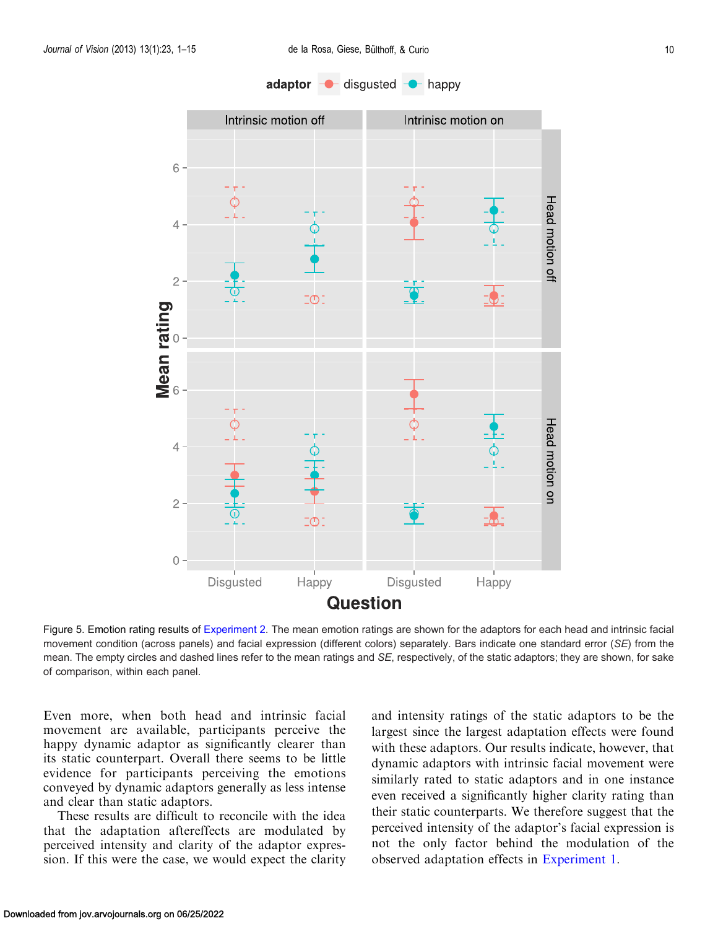

<span id="page-9-0"></span>

Figure 5. Emotion rating results of [Experiment 2](#page-8-0). The mean emotion ratings are shown for the adaptors for each head and intrinsic facial movement condition (across panels) and facial expression (different colors) separately. Bars indicate one standard error (SE) from the mean. The empty circles and dashed lines refer to the mean ratings and SE, respectively, of the static adaptors; they are shown, for sake of comparison, within each panel.

Even more, when both head and intrinsic facial movement are available, participants perceive the happy dynamic adaptor as significantly clearer than its static counterpart. Overall there seems to be little evidence for participants perceiving the emotions conveyed by dynamic adaptors generally as less intense and clear than static adaptors.

These results are difficult to reconcile with the idea that the adaptation aftereffects are modulated by perceived intensity and clarity of the adaptor expression. If this were the case, we would expect the clarity and intensity ratings of the static adaptors to be the largest since the largest adaptation effects were found with these adaptors. Our results indicate, however, that dynamic adaptors with intrinsic facial movement were similarly rated to static adaptors and in one instance even received a significantly higher clarity rating than their static counterparts. We therefore suggest that the perceived intensity of the adaptor's facial expression is not the only factor behind the modulation of the observed adaptation effects in [Experiment 1.](#page-2-0)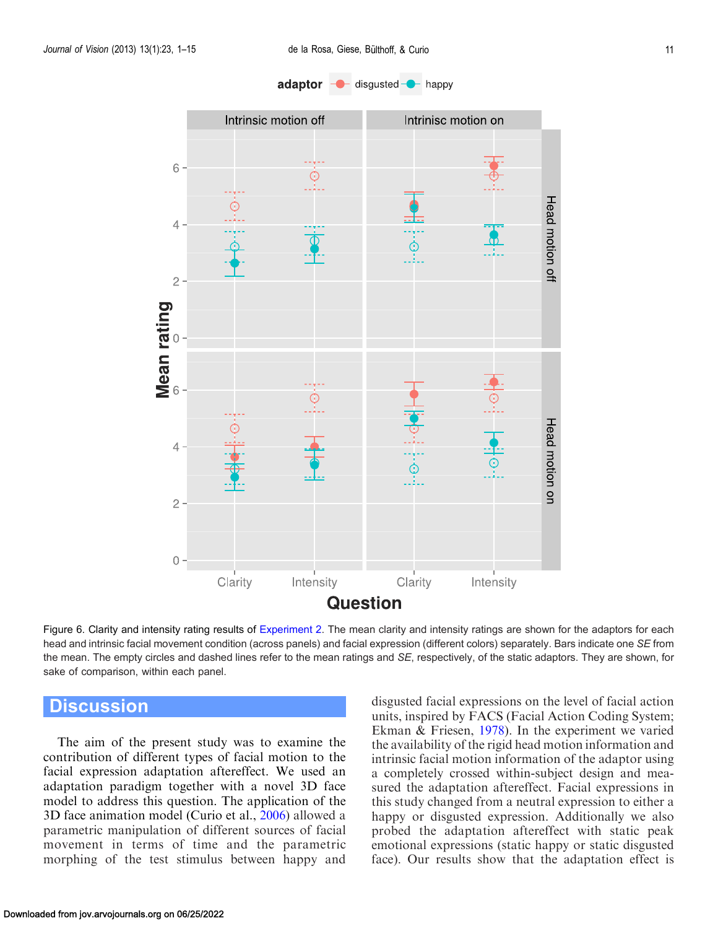

<span id="page-10-0"></span>

Figure 6. Clarity and intensity rating results of [Experiment 2](#page-8-0). The mean clarity and intensity ratings are shown for the adaptors for each head and intrinsic facial movement condition (across panels) and facial expression (different colors) separately. Bars indicate one SE from the mean. The empty circles and dashed lines refer to the mean ratings and SE, respectively, of the static adaptors. They are shown, for sake of comparison, within each panel.

# **Discussion**

The aim of the present study was to examine the contribution of different types of facial motion to the facial expression adaptation aftereffect. We used an adaptation paradigm together with a novel 3D face model to address this question. The application of the 3D face animation model (Curio et al., [2006\)](#page-12-0) allowed a parametric manipulation of different sources of facial movement in terms of time and the parametric morphing of the test stimulus between happy and disgusted facial expressions on the level of facial action units, inspired by FACS (Facial Action Coding System; Ekman & Friesen, [1978](#page-13-0)). In the experiment we varied the availability of the rigid head motion information and intrinsic facial motion information of the adaptor using a completely crossed within-subject design and measured the adaptation aftereffect. Facial expressions in this study changed from a neutral expression to either a happy or disgusted expression. Additionally we also probed the adaptation aftereffect with static peak emotional expressions (static happy or static disgusted face). Our results show that the adaptation effect is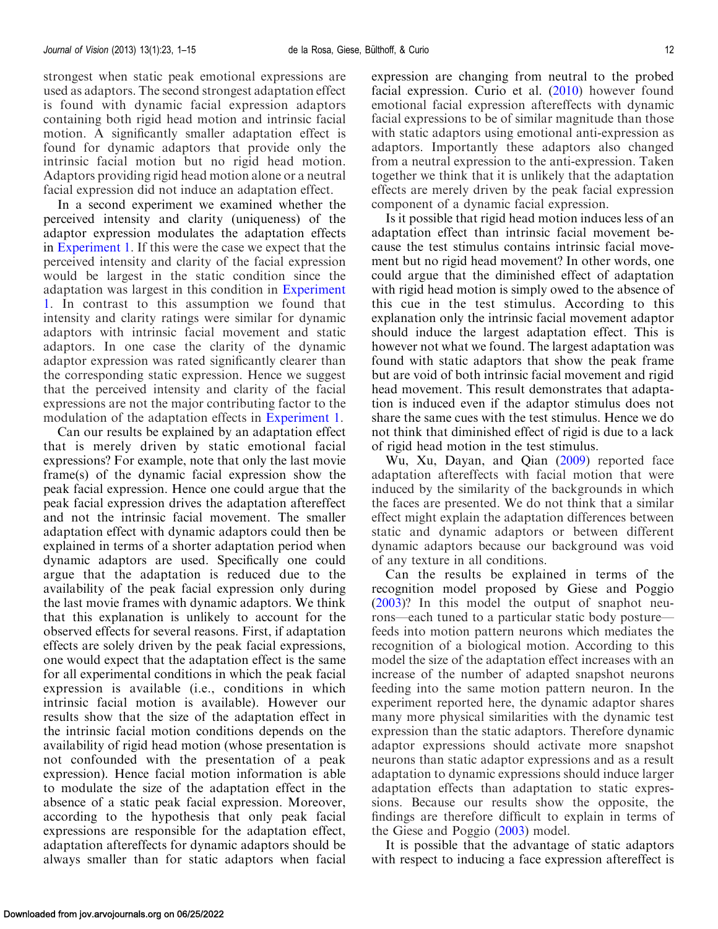strongest when static peak emotional expressions are used as adaptors. The second strongest adaptation effect is found with dynamic facial expression adaptors containing both rigid head motion and intrinsic facial motion. A significantly smaller adaptation effect is found for dynamic adaptors that provide only the intrinsic facial motion but no rigid head motion. Adaptors providing rigid head motion alone or a neutral facial expression did not induce an adaptation effect.

In a second experiment we examined whether the perceived intensity and clarity (uniqueness) of the adaptor expression modulates the adaptation effects in [Experiment 1](#page-2-0). If this were the case we expect that the perceived intensity and clarity of the facial expression would be largest in the static condition since the adaptation was largest in this condition in [Experiment](#page-2-0) [1.](#page-2-0) In contrast to this assumption we found that intensity and clarity ratings were similar for dynamic adaptors with intrinsic facial movement and static adaptors. In one case the clarity of the dynamic adaptor expression was rated significantly clearer than the corresponding static expression. Hence we suggest that the perceived intensity and clarity of the facial expressions are not the major contributing factor to the modulation of the adaptation effects in [Experiment 1](#page-2-0).

Can our results be explained by an adaptation effect that is merely driven by static emotional facial expressions? For example, note that only the last movie frame(s) of the dynamic facial expression show the peak facial expression. Hence one could argue that the peak facial expression drives the adaptation aftereffect and not the intrinsic facial movement. The smaller adaptation effect with dynamic adaptors could then be explained in terms of a shorter adaptation period when dynamic adaptors are used. Specifically one could argue that the adaptation is reduced due to the availability of the peak facial expression only during the last movie frames with dynamic adaptors. We think that this explanation is unlikely to account for the observed effects for several reasons. First, if adaptation effects are solely driven by the peak facial expressions, one would expect that the adaptation effect is the same for all experimental conditions in which the peak facial expression is available (i.e., conditions in which intrinsic facial motion is available). However our results show that the size of the adaptation effect in the intrinsic facial motion conditions depends on the availability of rigid head motion (whose presentation is not confounded with the presentation of a peak expression). Hence facial motion information is able to modulate the size of the adaptation effect in the absence of a static peak facial expression. Moreover, according to the hypothesis that only peak facial expressions are responsible for the adaptation effect, adaptation aftereffects for dynamic adaptors should be always smaller than for static adaptors when facial expression are changing from neutral to the probed facial expression. Curio et al. ([2010\)](#page-12-0) however found emotional facial expression aftereffects with dynamic facial expressions to be of similar magnitude than those with static adaptors using emotional anti-expression as adaptors. Importantly these adaptors also changed from a neutral expression to the anti-expression. Taken together we think that it is unlikely that the adaptation effects are merely driven by the peak facial expression component of a dynamic facial expression.

Is it possible that rigid head motion induces less of an adaptation effect than intrinsic facial movement because the test stimulus contains intrinsic facial movement but no rigid head movement? In other words, one could argue that the diminished effect of adaptation with rigid head motion is simply owed to the absence of this cue in the test stimulus. According to this explanation only the intrinsic facial movement adaptor should induce the largest adaptation effect. This is however not what we found. The largest adaptation was found with static adaptors that show the peak frame but are void of both intrinsic facial movement and rigid head movement. This result demonstrates that adaptation is induced even if the adaptor stimulus does not share the same cues with the test stimulus. Hence we do not think that diminished effect of rigid is due to a lack of rigid head motion in the test stimulus.

Wu, Xu, Dayan, and Qian ([2009\)](#page-14-0) reported face adaptation aftereffects with facial motion that were induced by the similarity of the backgrounds in which the faces are presented. We do not think that a similar effect might explain the adaptation differences between static and dynamic adaptors or between different dynamic adaptors because our background was void of any texture in all conditions.

Can the results be explained in terms of the recognition model proposed by Giese and Poggio ([2003](#page-13-0))? In this model the output of snaphot neurons—each tuned to a particular static body posture feeds into motion pattern neurons which mediates the recognition of a biological motion. According to this model the size of the adaptation effect increases with an increase of the number of adapted snapshot neurons feeding into the same motion pattern neuron. In the experiment reported here, the dynamic adaptor shares many more physical similarities with the dynamic test expression than the static adaptors. Therefore dynamic adaptor expressions should activate more snapshot neurons than static adaptor expressions and as a result adaptation to dynamic expressions should induce larger adaptation effects than adaptation to static expressions. Because our results show the opposite, the findings are therefore difficult to explain in terms of the Giese and Poggio ([2003\)](#page-13-0) model.

It is possible that the advantage of static adaptors with respect to inducing a face expression aftereffect is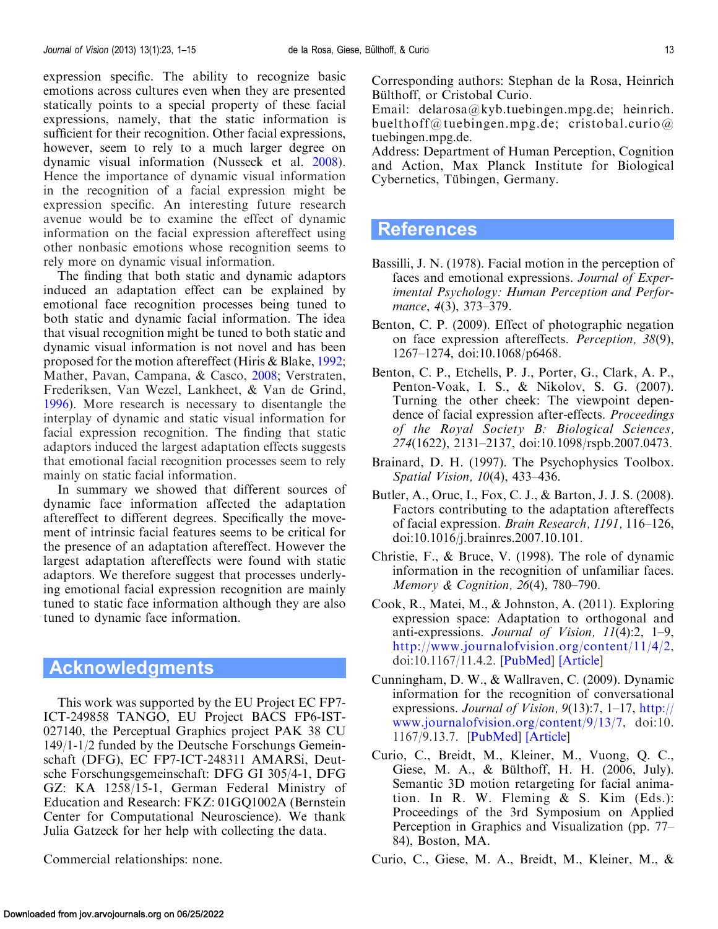<span id="page-12-0"></span>expression specific. The ability to recognize basic emotions across cultures even when they are presented statically points to a special property of these facial expressions, namely, that the static information is sufficient for their recognition. Other facial expressions, however, seem to rely to a much larger degree on dynamic visual information (Nusseck et al. [2008](#page-13-0)). Hence the importance of dynamic visual information in the recognition of a facial expression might be expression specific. An interesting future research avenue would be to examine the effect of dynamic information on the facial expression aftereffect using other nonbasic emotions whose recognition seems to rely more on dynamic visual information.

The finding that both static and dynamic adaptors induced an adaptation effect can be explained by emotional face recognition processes being tuned to both static and dynamic facial information. The idea that visual recognition might be tuned to both static and dynamic visual information is not novel and has been proposed for the motion aftereffect (Hiris & Blake, [1992](#page-13-0); Mather, Pavan, Campana, & Casco, [2008;](#page-13-0) Verstraten, Frederiksen, Van Wezel, Lankheet, & Van de Grind, [1996\)](#page-14-0). More research is necessary to disentangle the interplay of dynamic and static visual information for facial expression recognition. The finding that static adaptors induced the largest adaptation effects suggests that emotional facial recognition processes seem to rely mainly on static facial information.

In summary we showed that different sources of dynamic face information affected the adaptation aftereffect to different degrees. Specifically the movement of intrinsic facial features seems to be critical for the presence of an adaptation aftereffect. However the largest adaptation aftereffects were found with static adaptors. We therefore suggest that processes underlying emotional facial expression recognition are mainly tuned to static face information although they are also tuned to dynamic face information.

# Acknowledgments

This work was supported by the EU Project EC FP7- ICT-249858 TANGO, EU Project BACS FP6-IST-027140, the Perceptual Graphics project PAK 38 CU 149/1-1/2 funded by the Deutsche Forschungs Gemeinschaft (DFG), EC FP7-ICT-248311 AMARSi, Deutsche Forschungsgemeinschaft: DFG GI 305/4-1, DFG GZ: KA 1258/15-1, German Federal Ministry of Education and Research: FKZ: 01GQ1002A (Bernstein Center for Computational Neuroscience). We thank Julia Gatzeck for her help with collecting the data.

Commercial relationships: none.

Corresponding authors: Stephan de la Rosa, Heinrich Bülthoff, or Cristobal Curio.

Email: delarosa@kyb.tuebingen.mpg.de; heinrich. buelthoff@tuebingen.mpg.de; cristobal.curio@ tuebingen.mpg.de.

Address: Department of Human Perception, Cognition and Action, Max Planck Institute for Biological Cybernetics, Tübingen, Germany.

## References

- Bassilli, J. N. (1978). Facial motion in the perception of faces and emotional expressions. Journal of Experimental Psychology: Human Perception and Performance, 4(3), 373–379.
- Benton, C. P. (2009). Effect of photographic negation on face expression aftereffects. Perception, 38(9), 1267–1274, doi:10.1068/p6468.
- Benton, C. P., Etchells, P. J., Porter, G., Clark, A. P., Penton-Voak, I. S., & Nikolov, S. G. (2007). Turning the other cheek: The viewpoint dependence of facial expression after-effects. Proceedings of the Royal Society B: Biological Sciences, 274(1622), 2131–2137, doi:10.1098/rspb.2007.0473.
- Brainard, D. H. (1997). The Psychophysics Toolbox. Spatial Vision, 10(4), 433–436.
- Butler, A., Oruc, I., Fox, C. J., & Barton, J. J. S. (2008). Factors contributing to the adaptation aftereffects of facial expression. Brain Research, 1191, 116–126, doi:10.1016/j.brainres.2007.10.101.
- Christie, F., & Bruce, V. (1998). The role of dynamic information in the recognition of unfamiliar faces. Memory & Cognition, 26(4), 780–790.
- Cook, R., Matei, M., & Johnston, A. (2011). Exploring expression space: Adaptation to orthogonal and anti-expressions. Journal of Vision, 11(4):2, 1–9, <http://www.journalofvision.org/content/11/4/2>, doi:10.1167/11.4.2. [[PubMed](http://www.ncbi.nlm.nih.gov/pubmed/21464438)] [[Article](http://www.journalofvision.org/content/11/4/2.long)]
- Cunningham, D. W., & Wallraven, C. (2009). Dynamic information for the recognition of conversational expressions. Journal of Vision,  $9(13)$ :7, 1–17, [http://](http://www.journalofvision.org/content/9/13/7) [www.journalofvision.org/content/9/13/7](http://www.journalofvision.org/content/9/13/7), doi:10. 1167/9.13.7. [\[PubMed\]](http://www.ncbi.nlm.nih.gov/pubmed/20055540) [\[Article](http://www.journalofvision.org/content/9/13/7.long)]
- Curio, C., Breidt, M., Kleiner, M., Vuong, Q. C., Giese, M. A.,  $\&$  Bülthoff, H. H. (2006, July). Semantic 3D motion retargeting for facial animation. In R. W. Fleming & S. Kim (Eds.): Proceedings of the 3rd Symposium on Applied Perception in Graphics and Visualization (pp. 77– 84), Boston, MA.
- Curio, C., Giese, M. A., Breidt, M., Kleiner, M., &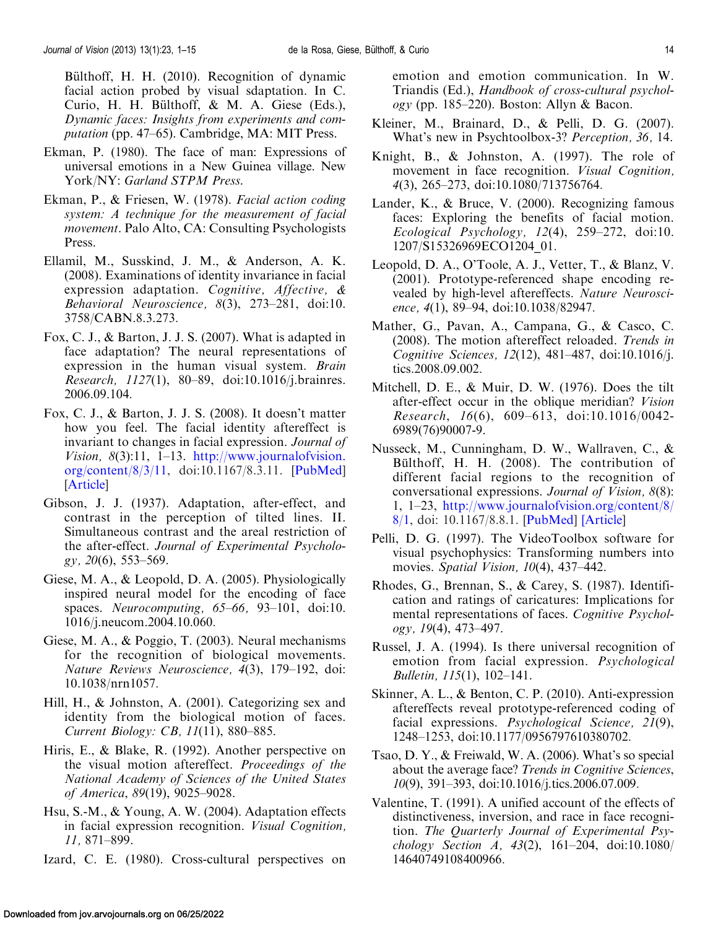<span id="page-13-0"></span>Bülthoff, H. H. (2010). Recognition of dynamic facial action probed by visual sdaptation. In C. Curio, H. H. Bülthoff,  $\&$  M. A. Giese (Eds.), Dynamic faces: Insights from experiments and computation (pp. 47–65). Cambridge, MA: MIT Press.

- Ekman, P. (1980). The face of man: Expressions of universal emotions in a New Guinea village. New York/NY: Garland STPM Press.
- Ekman, P., & Friesen, W. (1978). Facial action coding system: A technique for the measurement of facial movement. Palo Alto, CA: Consulting Psychologists Press.
- Ellamil, M., Susskind, J. M., & Anderson, A. K. (2008). Examinations of identity invariance in facial expression adaptation. Cognitive, Affective, & Behavioral Neuroscience, 8(3), 273–281, doi:10. 3758/CABN.8.3.273.
- Fox, C. J., & Barton, J. J. S. (2007). What is adapted in face adaptation? The neural representations of expression in the human visual system. Brain Research, 1127(1), 80–89, doi:10.1016/j.brainres. 2006.09.104.
- Fox, C. J., & Barton, J. J. S. (2008). It doesn't matter how you feel. The facial identity aftereffect is invariant to changes in facial expression. Journal of Vision,  $8(3):11$ , 1–13. [http://www.journalofvision.](http://www.journalofvision.org/content/8/3/11) [org/content/8/3/11](http://www.journalofvision.org/content/8/3/11), doi:10.1167/8.3.11. [[PubMed](http://www.ncbi.nlm.nih.gov/pubmed/18484817)] [[Article\]](http://www.journalofvision.org/content/8/3/11.long)
- Gibson, J. J. (1937). Adaptation, after-effect, and contrast in the perception of tilted lines. II. Simultaneous contrast and the areal restriction of the after-effect. Journal of Experimental Psychology, 20(6), 553–569.
- Giese, M. A., & Leopold, D. A. (2005). Physiologically inspired neural model for the encoding of face spaces. Neurocomputing, 65–66, 93–101, doi:10. 1016/j.neucom.2004.10.060.
- Giese, M. A., & Poggio, T. (2003). Neural mechanisms for the recognition of biological movements. Nature Reviews Neuroscience, 4(3), 179–192, doi: 10.1038/nrn1057.
- Hill, H., & Johnston, A. (2001). Categorizing sex and identity from the biological motion of faces. Current Biology: CB, 11(11), 880–885.
- Hiris, E., & Blake, R. (1992). Another perspective on the visual motion aftereffect. Proceedings of the National Academy of Sciences of the United States of America, 89(19), 9025–9028.
- Hsu, S.-M., & Young, A. W. (2004). Adaptation effects in facial expression recognition. Visual Cognition, 11, 871–899.
- Izard, C. E. (1980). Cross-cultural perspectives on

emotion and emotion communication. In W. Triandis (Ed.), Handbook of cross-cultural psychol- $\log y$  (pp. 185–220). Boston: Allyn & Bacon.

- Kleiner, M., Brainard, D., & Pelli, D. G. (2007). What's new in Psychtoolbox-3? Perception, 36, 14.
- Knight, B., & Johnston, A. (1997). The role of movement in face recognition. Visual Cognition, 4(3), 265–273, doi:10.1080/713756764.
- Lander, K., & Bruce, V. (2000). Recognizing famous faces: Exploring the benefits of facial motion. Ecological Psychology,  $12(4)$ ,  $259-272$ , doi:10. 1207/S15326969ECO1204\_01.
- Leopold, D. A., O'Toole, A. J., Vetter, T., & Blanz, V. (2001). Prototype-referenced shape encoding revealed by high-level aftereffects. Nature Neuroscience, 4(1), 89–94, doi:10.1038/82947.
- Mather, G., Pavan, A., Campana, G., & Casco, C. (2008). The motion aftereffect reloaded. Trends in Cognitive Sciences, 12(12), 481–487, doi:10.1016/j. tics.2008.09.002.
- Mitchell, D. E., & Muir, D. W. (1976). Does the tilt after-effect occur in the oblique meridian? Vision Research, 16(6), 609–613, doi:10.1016/0042- 6989(76)90007-9.
- Nusseck, M., Cunningham, D. W., Wallraven, C., & Bülthoff, H. H. (2008). The contribution of different facial regions to the recognition of conversational expressions. Journal of Vision, 8(8): 1, 1–23, [http://www.journalofvision.org/content/8/](http://www.journalofvision.org/content/8/8/1) [8/1,](http://www.journalofvision.org/content/8/8/1) doi: 10.1167/8.8.1. [\[PubMed](http://www.ncbi.nlm.nih.gov/pubmed/18831624)] [\[Article\]](http://www.journalofvision.org/content/8/8/1.long)
- Pelli, D. G. (1997). The VideoToolbox software for visual psychophysics: Transforming numbers into movies. Spatial Vision, 10(4), 437-442.
- Rhodes, G., Brennan, S., & Carey, S. (1987). Identification and ratings of caricatures: Implications for mental representations of faces. Cognitive Psychol- $\log y$ , 19(4), 473–497.
- Russel, J. A. (1994). Is there universal recognition of emotion from facial expression. Psychological Bulletin, 115(1), 102–141.
- Skinner, A. L., & Benton, C. P. (2010). Anti-expression aftereffects reveal prototype-referenced coding of facial expressions. Psychological Science, 21(9), 1248–1253, doi:10.1177/0956797610380702.
- Tsao, D. Y., & Freiwald, W. A. (2006). What's so special about the average face? Trends in Cognitive Sciences, 10(9), 391–393, doi:10.1016/j.tics.2006.07.009.
- Valentine, T. (1991). A unified account of the effects of distinctiveness, inversion, and race in face recognition. The Quarterly Journal of Experimental Psychology Section A, 43(2), 161–204, doi:10.1080/ 14640749108400966.